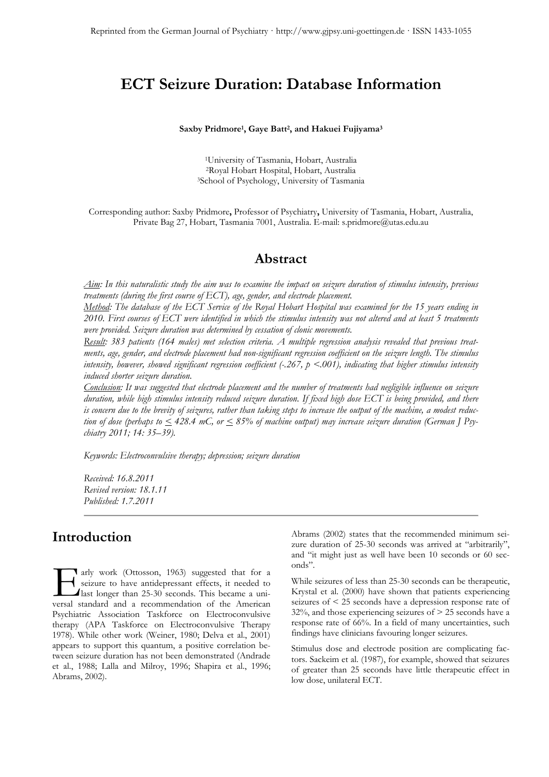# **ECT Seizure Duration: Database Information**

#### **Saxby Pridmore1, Gaye Batt2, and Hakuei Fujiyama3**

1University of Tasmania, Hobart, Australia 2Royal Hobart Hospital, Hobart, Australia 3School of Psychology, University of Tasmania

Corresponding author: Saxby Pridmore**,** Professor of Psychiatry**,** University of Tasmania, Hobart, Australia, Private Bag 27, Hobart, Tasmania 7001, Australia. E-mail: s.pridmore@utas.edu.au

### **Abstract**

*Aim: In this naturalistic study the aim was to examine the impact on seizure duration of stimulus intensity, previous treatments (during the first course of ECT), age, gender, and electrode placement.* 

*Method: The database of the ECT Service of the Royal Hobart Hospital was examined for the 15 years ending in 2010. First courses of ECT were identified in which the stimulus intensity was not altered and at least 5 treatments were provided. Seizure duration was determined by cessation of clonic movements.* 

*Result: 383 patients (164 males) met selection criteria. A multiple regression analysis revealed that previous treatments, age, gender, and electrode placement had non-significant regression coefficient on the seizure length. The stimulus intensity, however, showed significant regression coefficient (-.267, p <.001), indicating that higher stimulus intensity induced shorter seizure duration.* 

*Conclusion: It was suggested that electrode placement and the number of treatments had negligible influence on seizure duration, while high stimulus intensity reduced seizure duration. If fixed high dose ECT is being provided, and there is concern due to the brevity of seizures, rather than taking steps to increase the output of the machine, a modest reduction of dose (perhaps to < 428.4 mC, or < 85% of machine output) may increase seizure duration (German J Psychiatry 2011; 14: 35–39).* 

*Keywords: Electroconvulsive therapy; depression; seizure duration* 

*Received: 16.8.2011 Revised version: 18.1.11 Published: 1.7.2011* 

### **Introduction**

arly work (Ottosson, 1963) suggested that for a seizure to have antidepressant effects, it needed to  $\Box$  last longer than 25-30 seconds. This became a uniarly work (Ottosson, 1963) suggested that for a seizure to have antidepressant effects, it needed to last longer than 25-30 seconds. This became a universal standard and a recommendation of the American Psychiatric Association Taskforce on Electroconvulsive therapy (APA Taskforce on Electroconvulsive Therapy 1978). While other work (Weiner, 1980; Delva et al., 2001) appears to support this quantum, a positive correlation between seizure duration has not been demonstrated (Andrade et al., 1988; Lalla and Milroy, 1996; Shapira et al., 1996; Abrams, 2002).

Abrams (2002) states that the recommended minimum seizure duration of 25-30 seconds was arrived at "arbitrarily", and "it might just as well have been 10 seconds or 60 seconds".

While seizures of less than 25-30 seconds can be therapeutic, Krystal et al. (2000) have shown that patients experiencing seizures of < 25 seconds have a depression response rate of  $32\%$ , and those experiencing seizures of  $> 25$  seconds have a response rate of 66%. In a field of many uncertainties, such findings have clinicians favouring longer seizures.

Stimulus dose and electrode position are complicating factors. Sackeim et al. (1987), for example, showed that seizures of greater than 25 seconds have little therapeutic effect in low dose, unilateral ECT.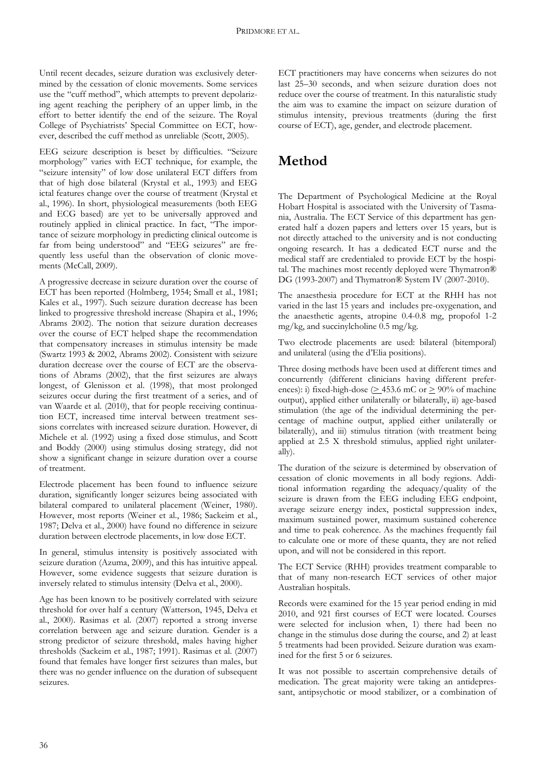Until recent decades, seizure duration was exclusively determined by the cessation of clonic movements. Some services use the "cuff method", which attempts to prevent depolarizing agent reaching the periphery of an upper limb, in the effort to better identify the end of the seizure. The Royal College of Psychiatrists' Special Committee on ECT, however, described the cuff method as unreliable (Scott, 2005).

EEG seizure description is beset by difficulties. "Seizure morphology" varies with ECT technique, for example, the "seizure intensity" of low dose unilateral ECT differs from that of high dose bilateral (Krystal et al., 1993) and EEG ictal features change over the course of treatment (Krystal et al., 1996). In short, physiological measurements (both EEG and ECG based) are yet to be universally approved and routinely applied in clinical practice. In fact, "The importance of seizure morphology in predicting clinical outcome is far from being understood" and "EEG seizures" are frequently less useful than the observation of clonic movements (McCall, 2009).

A progressive decrease in seizure duration over the course of ECT has been reported (Holmberg, 1954; Small et al., 1981; Kales et al., 1997). Such seizure duration decrease has been linked to progressive threshold increase (Shapira et al., 1996; Abrams 2002). The notion that seizure duration decreases over the course of ECT helped shape the recommendation that compensatory increases in stimulus intensity be made (Swartz 1993 & 2002, Abrams 2002). Consistent with seizure duration decrease over the course of ECT are the observations of Abrams (2002), that the first seizures are always longest, of Glenisson et al. (1998), that most prolonged seizures occur during the first treatment of a series, and of van Waarde et al. (2010), that for people receiving continuation ECT, increased time interval between treatment sessions correlates with increased seizure duration. However, di Michele et al. (1992) using a fixed dose stimulus, and Scott and Boddy (2000) using stimulus dosing strategy, did not show a significant change in seizure duration over a course of treatment.

Electrode placement has been found to influence seizure duration, significantly longer seizures being associated with bilateral compared to unilateral placement (Weiner, 1980). However, most reports (Weiner et al., 1986; Sackeim et al., 1987; Delva et al., 2000) have found no difference in seizure duration between electrode placements, in low dose ECT.

In general, stimulus intensity is positively associated with seizure duration (Azuma, 2009), and this has intuitive appeal. However, some evidence suggests that seizure duration is inversely related to stimulus intensity (Delva et al., 2000).

Age has been known to be positively correlated with seizure threshold for over half a century (Watterson, 1945, Delva et al., 2000). Rasimas et al. (2007) reported a strong inverse correlation between age and seizure duration. Gender is a strong predictor of seizure threshold, males having higher thresholds (Sackeim et al., 1987; 1991). Rasimas et al. (2007) found that females have longer first seizures than males, but there was no gender influence on the duration of subsequent seizures.

ECT practitioners may have concerns when seizures do not last 25–30 seconds, and when seizure duration does not reduce over the course of treatment. In this naturalistic study the aim was to examine the impact on seizure duration of stimulus intensity, previous treatments (during the first course of ECT), age, gender, and electrode placement.

# **Method**

The Department of Psychological Medicine at the Royal Hobart Hospital is associated with the University of Tasmania, Australia. The ECT Service of this department has generated half a dozen papers and letters over 15 years, but is not directly attached to the university and is not conducting ongoing research. It has a dedicated ECT nurse and the medical staff are credentialed to provide ECT by the hospital. The machines most recently deployed were Thymatron® DG (1993-2007) and Thymatron® System IV (2007-2010).

The anaesthesia procedure for ECT at the RHH has not varied in the last 15 years and includes pre-oxygenation, and the anaesthetic agents, atropine 0.4-0.8 mg, propofol 1-2 mg/kg, and succinylcholine 0.5 mg/kg.

Two electrode placements are used: bilateral (bitemporal) and unilateral (using the d'Elia positions).

Three dosing methods have been used at different times and concurrently (different clinicians having different preferences): i) fixed-high-dose ( $\geq$  453.6 mC or  $\geq$  90% of machine output), applied either unilaterally or bilaterally, ii) age-based stimulation (the age of the individual determining the percentage of machine output, applied either unilaterally or bilaterally), and iii) stimulus titration (with treatment being applied at 2.5 X threshold stimulus, applied right unilaterally).

The duration of the seizure is determined by observation of cessation of clonic movements in all body regions. Additional information regarding the adequacy/quality of the seizure is drawn from the EEG including EEG endpoint, average seizure energy index, postictal suppression index, maximum sustained power, maximum sustained coherence and time to peak coherence. As the machines frequently fail to calculate one or more of these quanta, they are not relied upon, and will not be considered in this report.

The ECT Service (RHH) provides treatment comparable to that of many non-research ECT services of other major Australian hospitals.

Records were examined for the 15 year period ending in mid 2010, and 921 first courses of ECT were located. Courses were selected for inclusion when, 1) there had been no change in the stimulus dose during the course, and 2) at least 5 treatments had been provided. Seizure duration was examined for the first 5 or 6 seizures.

It was not possible to ascertain comprehensive details of medication. The great majority were taking an antidepressant, antipsychotic or mood stabilizer, or a combination of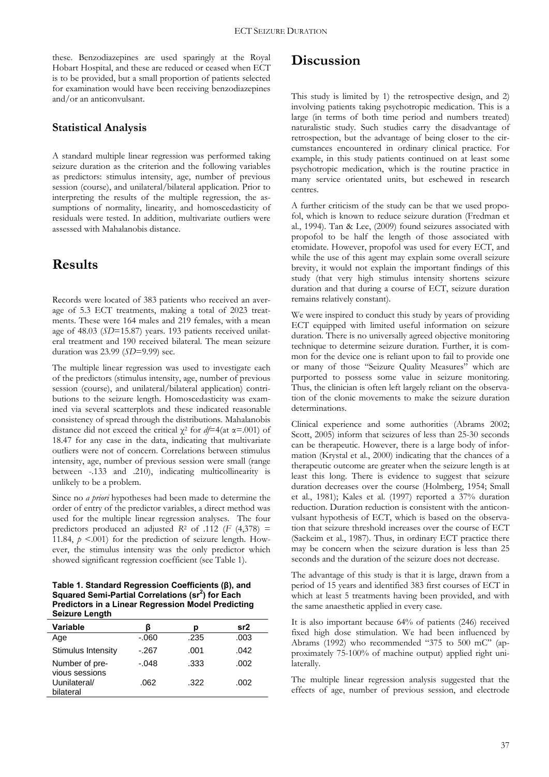these. Benzodiazepines are used sparingly at the Royal Hobart Hospital, and these are reduced or ceased when ECT is to be provided, but a small proportion of patients selected for examination would have been receiving benzodiazepines and/or an anticonvulsant.

### **Statistical Analysis**

A standard multiple linear regression was performed taking seizure duration as the criterion and the following variables as predictors: stimulus intensity, age, number of previous session (course), and unilateral/bilateral application. Prior to interpreting the results of the multiple regression, the assumptions of normality, linearity, and homoscedasticity of residuals were tested. In addition, multivariate outliers were assessed with Mahalanobis distance.

## **Results**

Records were located of 383 patients who received an average of 5.3 ECT treatments, making a total of 2023 treatments. These were 164 males and 219 females, with a mean age of 48.03 (*SD*=15.87) years. 193 patients received unilateral treatment and 190 received bilateral. The mean seizure duration was 23.99 (*SD*=9.99) sec.

The multiple linear regression was used to investigate each of the predictors (stimulus intensity, age, number of previous session (course), and unilateral/bilateral application) contributions to the seizure length. Homoscedasticity was examined via several scatterplots and these indicated reasonable consistency of spread through the distributions. Mahalanobis distance did not exceed the critical χ2 for *df*=4(at α=.001) of 18.47 for any case in the data, indicating that multivariate outliers were not of concern. Correlations between stimulus intensity, age, number of previous session were small (range between -.133 and .210), indicating multicollinearity is unlikely to be a problem.

Since no *a priori* hypotheses had been made to determine the order of entry of the predictor variables, a direct method was used for the multiple linear regression analyses. The four predictors produced an adjusted  $R^2$  of .112 ( $F$  (4,378) = 11.84,  $p \le 0.001$ ) for the prediction of seizure length. However, the stimulus intensity was the only predictor which showed significant regression coefficient (see Table 1).

### **Table 1. Standard Regression Coefficients (β), and**  Squared Semi-Partial Correlations (sr<sup>2</sup>) for Each **Predictors in a Linear Regression Model Predicting Seizure Length**

| <b>Variable</b>                  |         | n    | sr2  |
|----------------------------------|---------|------|------|
| Age                              | $-060$  | .235 | .003 |
| Stimulus Intensity               | $-267$  | .001 | .042 |
| Number of pre-<br>vious sessions | $-.048$ | .333 | .002 |
| Uunilateral/                     | .062    | .322 | .002 |
| bilateral                        |         |      |      |

## **Discussion**

This study is limited by 1) the retrospective design, and 2) involving patients taking psychotropic medication. This is a large (in terms of both time period and numbers treated) naturalistic study. Such studies carry the disadvantage of retrospection, but the advantage of being closer to the circumstances encountered in ordinary clinical practice. For example, in this study patients continued on at least some psychotropic medication, which is the routine practice in many service orientated units, but eschewed in research centres.

A further criticism of the study can be that we used propofol, which is known to reduce seizure duration (Fredman et al., 1994). Tan & Lee, (2009) found seizures associated with propofol to be half the length of those associated with etomidate. However, propofol was used for every ECT, and while the use of this agent may explain some overall seizure brevity, it would not explain the important findings of this study (that very high stimulus intensity shortens seizure duration and that during a course of ECT, seizure duration remains relatively constant).

We were inspired to conduct this study by years of providing ECT equipped with limited useful information on seizure duration. There is no universally agreed objective monitoring technique to determine seizure duration. Further, it is common for the device one is reliant upon to fail to provide one or many of those "Seizure Quality Measures" which are purported to possess some value in seizure monitoring. Thus, the clinician is often left largely reliant on the observation of the clonic movements to make the seizure duration determinations.

Clinical experience and some authorities (Abrams 2002; Scott, 2005) inform that seizures of less than 25-30 seconds can be therapeutic. However, there is a large body of information (Krystal et al., 2000) indicating that the chances of a therapeutic outcome are greater when the seizure length is at least this long. There is evidence to suggest that seizure duration decreases over the course (Holmberg, 1954; Small et al., 1981); Kales et al. (1997) reported a 37% duration reduction. Duration reduction is consistent with the anticonvulsant hypothesis of ECT, which is based on the observation that seizure threshold increases over the course of ECT (Sackeim et al., 1987). Thus, in ordinary ECT practice there may be concern when the seizure duration is less than 25 seconds and the duration of the seizure does not decrease.

The advantage of this study is that it is large, drawn from a period of 15 years and identified 383 first courses of ECT in which at least 5 treatments having been provided, and with the same anaesthetic applied in every case.

It is also important because 64% of patients (246) received fixed high dose stimulation. We had been influenced by Abrams (1992) who recommended "375 to 500 mC" (approximately 75-100% of machine output) applied right unilaterally.

The multiple linear regression analysis suggested that the effects of age, number of previous session, and electrode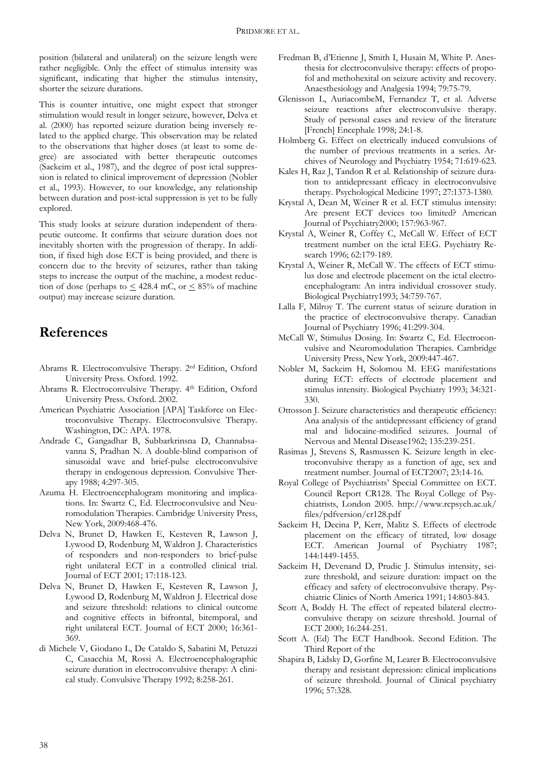position (bilateral and unilateral) on the seizure length were rather negligible. Only the effect of stimulus intensity was significant, indicating that higher the stimulus intensity, shorter the seizure durations.

This is counter intuitive, one might expect that stronger stimulation would result in longer seizure, however, Delva et al. (2000) has reported seizure duration being inversely related to the applied charge. This observation may be related to the observations that higher doses (at least to some degree) are associated with better therapeutic outcomes (Sackeim et al., 1987), and the degree of post ictal suppression is related to clinical improvement of depression (Nobler et al., 1993). However, to our knowledge, any relationship between duration and post-ictal suppression is yet to be fully explored.

This study looks at seizure duration independent of therapeutic outcome. It confirms that seizure duration does not inevitably shorten with the progression of therapy. In addition, if fixed high dose ECT is being provided, and there is concern due to the brevity of seizures, rather than taking steps to increase the output of the machine, a modest reduction of dose (perhaps to  $\leq$  428.4 mC, or  $\leq$  85% of machine output) may increase seizure duration.

### **References**

- Abrams R. Electroconvulsive Therapy. 2ed Edition, Oxford University Press. Oxford. 1992.
- Abrams R. Electroconvulsive Therapy. 4th Edition, Oxford University Press. Oxford. 2002.
- American Psychiatric Association [APA] Taskforce on Electroconvulsive Therapy. Electroconvulsive Therapy. Washington, DC: APA. 1978.
- Andrade C, Gangadhar B, Subbarkrinsna D, Channabsavanna S, Pradhan N. A double-blind comparison of sinusoidal wave and brief-pulse electroconvulsive therapy in endogenous depression. Convulsive Therapy 1988; 4:297-305.
- Azuma H. Electroencephalogram monitoring and implications. In: Swartz C, Ed. Electroconvulsive and Neuromodulation Therapies. Cambridge University Press, New York, 2009:468-476.
- Delva N, Brunet D, Hawken E, Kesteven R, Lawson J, Lywood D, Rodenburg M, Waldron J. Characteristics of responders and non-responders to brief-pulse right unilateral ECT in a controlled clinical trial. Journal of ECT 2001; 17:118-123.
- Delva N, Brunet D, Hawken E, Kesteven R, Lawson J, Lywood D, Rodenburg M, Waldron J. Electrical dose and seizure threshold: relations to clinical outcome and cognitive effects in bifrontal, bitemporal, and right unilateral ECT. Journal of ECT 2000; 16:361- 369.
- di Michele V, Giodano L, De Cataldo S, Sabatini M, Petuzzi C, Casacchia M, Rossi A. Electroencephalographic seizure duration in electroconvulsive therapy: A clinical study. Convulsive Therapy 1992; 8:258-261.
- Fredman B, d'Etienne J, Smith I, Husain M, White P. Anesthesia for electroconvulsive therapy: effects of propofol and methohexital on seizure activity and recovery. Anaesthesiology and Analgesia 1994; 79:75-79.
- Glenisson L, AuriacombeM, Fernandez T, et al. Adverse seizure reactions after electroconvulsive therapy. Study of personal cases and review of the literature [French] Encephale 1998; 24:1-8.
- Holmberg G. Effect on electrically induced convulsions of the number of previous treatments in a series. Archives of Neurology and Psychiatry 1954; 71:619-623.
- Kales H, Raz J, Tandon R et al. Relationship of seizure duration to antidepressant efficacy in electroconvulsive therapy. Psychological Medicine 1997; 27:1373-1380.
- Krystal A, Dean M, Weiner R et al. ECT stimulus intensity: Are present ECT devices too limited? American Journal of Psychiatry2000; 157:963-967.
- Krystal A, Weiner R, Coffey C, McCall W. Effect of ECT treatment number on the ictal EEG. Psychiatry Research 1996; 62:179-189.
- Krystal A, Weiner R, McCall W. The effects of ECT stimulus dose and electrode placement on the ictal electroencephalogram: An intra individual crossover study. Biological Psychiatry1993; 34:759-767.
- Lalla F, Milroy T. The current status of seizure duration in the practice of electroconvulsive therapy. Canadian Journal of Psychiatry 1996; 41:299-304.
- McCall W, Stimulus Dosing. In: Swartz C, Ed. Electroconvulsive and Neuromodulation Therapies. Cambridge University Press, New York, 2009:447-467.
- Nobler M, Sackeim H, Solomou M. EEG manifestations during ECT: effects of electrode placement and stimulus intensity. Biological Psychiatry 1993; 34:321- 330.
- Ottosson J. Seizure characteristics and therapeutic efficiency: Ana analysis of the antidepressant efficiency of grand mal and lidocaine-modified seizures. Journal of Nervous and Mental Disease1962; 135:239-251.
- Rasimas J, Stevens S, Rasmussen K. Seizure length in electroconvulsive therapy as a function of age, sex and treatment number. Journal of ECT2007; 23:14-16.
- Royal College of Psychiatrists' Special Committee on ECT. Council Report CR128. The Royal College of Psychiatrists, London 2005. http://www.rcpsych.ac.uk/ files/pdfversion/cr128.pdf
- Sackeim H, Decina P, Kerr, Malitz S. Effects of electrode placement on the efficacy of titrated, low dosage ECT. American Journal of Psychiatry 1987; 144:1449-1455.
- Sackeim H, Devenand D, Prudic J. Stimulus intensity, seizure threshold, and seizure duration: impact on the efficacy and safety of electroconvulsive therapy. Psychiatric Clinics of North America 1991; 14:803-843.
- Scott A, Boddy H. The effect of repeated bilateral electroconvulsive therapy on seizure threshold. Journal of ECT 2000; 16:244-251.
- Scott A. (Ed) The ECT Handbook. Second Edition. The Third Report of the
- Shapira B, Lidsky D, Gorfine M, Learer B. Electroconvulsive therapy and resistant depression: clinical implications of seizure threshold. Journal of Clinical psychiatry 1996; 57:328.